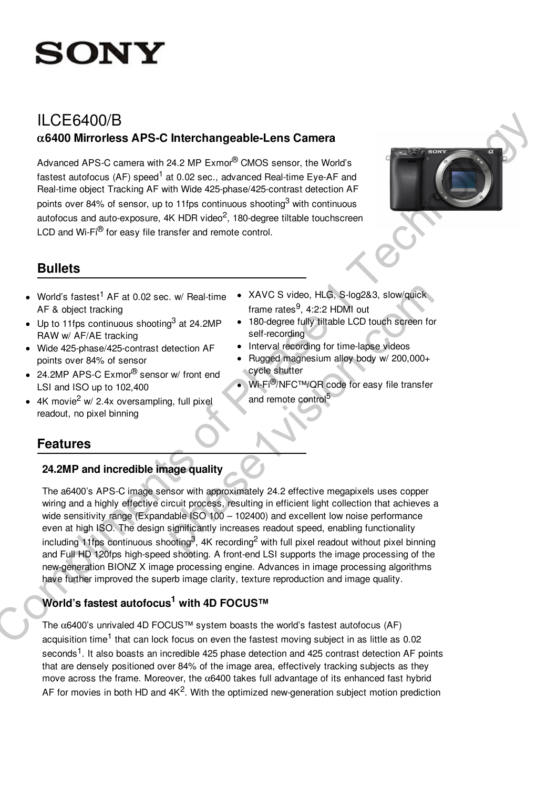

# ILCE6400/B a**6400 Mirrorless APS-C Interchangeable-Lens Camera**

Advanced APS-C camera with 24.2 MP Exmor® CMOS sensor, the World's fastest autofocus (AF) speed<sup>1</sup> at 0.02 sec., advanced Real-time Eye-AF and Real-time object Tracking AF with Wide 425-phase/425-contrast detection AF points over 84% of sensor, up to 11fps continuous shooting<sup>3</sup> with continuous autofocus and auto-exposure, 4K HDR video<sup>2</sup>, 180-degree tiltable touchscreen LCD and Wi-Fi® for easy file transfer and remote control.



# **Bullets**

- World's fastest<sup>1</sup> AF at 0.02 sec. w/ Real-time AF & object tracking
- Up to 11fps continuous shooting<sup>3</sup> at 24.2MP RAW w/ AF/AE tracking
- Wide 425-phase/425-contrast detection AF points over 84% of sensor
- 24.2MP APS-C Exmor<sup>®</sup> sensor w/ front end LSI and ISO up to 102,400
- 4K movie<sup>2</sup> w/ 2.4x oversampling, full pixel readout, no pixel binning
- XAVC S video, HLG, S-log2&3, slow/quick frame rates<sup>9</sup>, 4:2:2 HDMI out
- 180-degree fully tiltable LCD touch screen for self-recording
- Interval recording for time-lapse videos
- Rugged magnesium alloy body w/ 200,000+ cycle shutter
- Wi-Fi®/NFC™/QR code for easy file transfer and remote control<sup>5</sup>

# **Features**

# **24.2MP and incredible image quality**

The a6400's APS-C image sensor with approximately 24.2 effective megapixels uses copper wiring and a highly effective circuit process, resulting in efficient light collection that achieves a wide sensitivity range (Expandable ISO 100 - 102400) and excellent low noise performance even at high ISO. The design significantly increases readout speed, enabling functionality including 11fps continuous shooting<sup>3</sup>, 4K recording<sup>2</sup> with full pixel readout without pixel binning and Full HD 120fps high-speed shooting. A front-end LSI supports the image processing of the new-generation BIONZ X image processing engine. Advances in image processing algorithms have further improved the superb image clarity, texture reproduction and image quality. ILCEG400/B<br>
action African APS-C Interchangeable-Lens Camera<br>
Advanced APS-C camera with 242 MP Exmo<sup>2</sup> CMOS series, the World's<br>
Installations of Phase 1 in 0.2 sec., and youted Real time type AT<br>
Final materials and one 9. w/ Real-time  $\bullet$  XAVC S video, HLG, S-log2&3, slow/quick<br>
frame rates<sup>9,</sup> 4:2:2 HDMI out<br>
and reading the series of the series of the series of the series of the series of the series of the series of the phase videos<br>

# **World's fastest autofocus<sup>1</sup> with 4D FOCUS™**

The  $\alpha$ 6400's unrivaled 4D FOCUS™ system boasts the world's fastest autofocus (AF) acquisition time<sup>1</sup> that can lock focus on even the fastest moving subject in as little as 0.02 seconds<sup>1</sup>. It also boasts an incredible 425 phase detection and 425 contrast detection AF points that are densely positioned over 84% of the image area, effectively tracking subjects as they move across the frame. Moreover, the  $\alpha$ 6400 takes full advantage of its enhanced fast hybrid AF for movies in both HD and  $4K^2$ . With the optimized new-generation subject motion prediction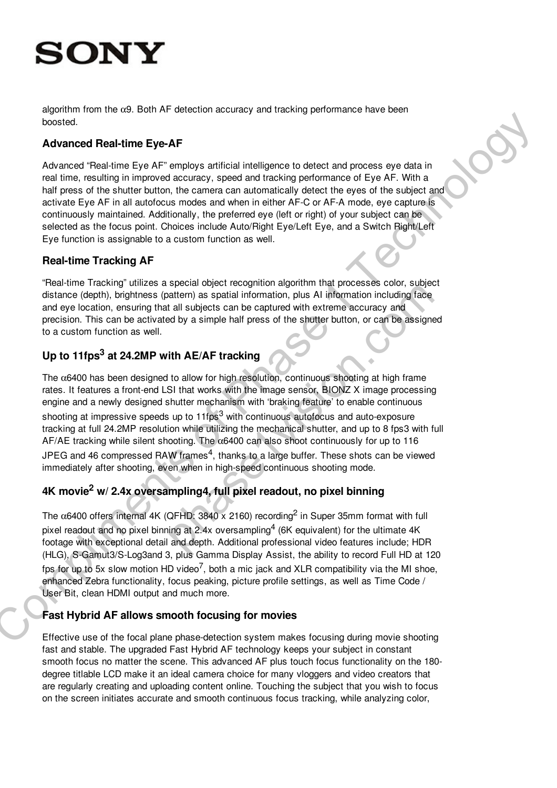# ONY

algorithm from the  $\alpha$ 9. Both AF detection accuracy and tracking performance have been boosted.

## **Advanced Real-time Eye-AF**

Advanced "Real-time Eye AF" employs artificial intelligence to detect and process eye data in real time, resulting in improved accuracy, speed and tracking performance of Eye AF. With a half press of the shutter button, the camera can automatically detect the eyes of the subject and activate Eye AF in all autofocus modes and when in either AF-C or AF-A mode, eye capture is continuously maintained. Additionally, the preferred eye (left or right) of your subject can be selected as the focus point. Choices include Auto/Right Eye/Left Eye, and a Switch Right/Left Eye function is assignable to a custom function as well.

## **Real-time Tracking AF**

"Real-time Tracking" utilizes a special object recognition algorithm that processes color, subject distance (depth), brightness (pattern) as spatial information, plus AI information including face and eye location, ensuring that all subjects can be captured with extreme accuracy and precision. This can be activated by a simple half press of the shutter button, or can be assigned to a custom function as well.

# **Up to 11fps<sup>3</sup> at 24.2MP with AE/AF tracking**

The  $\alpha$ 6400 has been designed to allow for high resolution, continuous shooting at high frame rates. It features a front-end LSI that works with the image sensor, BIONZ X image processing engine and a newly designed shutter mechanism with 'braking feature' to enable continuous shooting at impressive speeds up to 11fps<sup>3</sup> with continuous autofocus and auto-exposure tracking at full 24.2MP resolution while utilizing the mechanical shutter, and up to 8 fps3 with full AF/AE tracking while silent shooting. The  $\alpha$ 6400 can also shoot continuously for up to 116 JPEG and 46 compressed RAW frames<sup>4</sup>, thanks to a large buffer. These shots can be viewed immediately after shooting, even when in high-speed continuous shooting mode. someoned Real-Hims Eye-AF<br>Advanced Real-Hims Eye-AF<br>Advanced Real-Hims Eye-AF<br>Advanced Real-Hims Eye-AF<br>realising increases the distribution of Phase 1 Technology describes the<br>real main results of the subset of the subset speara object recognition and minimal photosses color, subject<br>attern) as spatial information, plus AI information including face<br>at all subjects can be captured with extreme accuracy and<br>ad by a simple half press of the

# **4K movie<sup>2</sup> w/ 2.4x oversampling4, full pixel readout, no pixel binning**

The  $\alpha$ 6400 offers internal 4K (QFHD: 3840 x 2160) recording<sup>2</sup> in Super 35mm format with full pixel readout and no pixel binning at 2.4x oversampling<sup>4</sup> (6K equivalent) for the ultimate 4K footage with exceptional detail and depth. Additional professional video features include; HDR (HLG), S-Gamut3/S-Log3and 3, plus Gamma Display Assist, the ability to record Full HD at 120 fps for up to 5x slow motion HD video<sup>7</sup>, both a mic jack and XLR compatibility via the MI shoe, enhanced Zebra functionality, focus peaking, picture profile settings, as well as Time Code / User Bit, clean HDMI output and much more.

# **Fast Hybrid AF allows smooth focusing for movies**

Effective use of the focal plane phase-detection system makes focusing during movie shooting fast and stable. The upgraded Fast Hybrid AF technology keeps your subject in constant smooth focus no matter the scene. This advanced AF plus touch focus functionality on the 180 degree titlable LCD make it an ideal camera choice for many vloggers and video creators that are regularly creating and uploading content online. Touching the subject that you wish to focus on the screen initiates accurate and smooth continuous focus tracking, while analyzing color,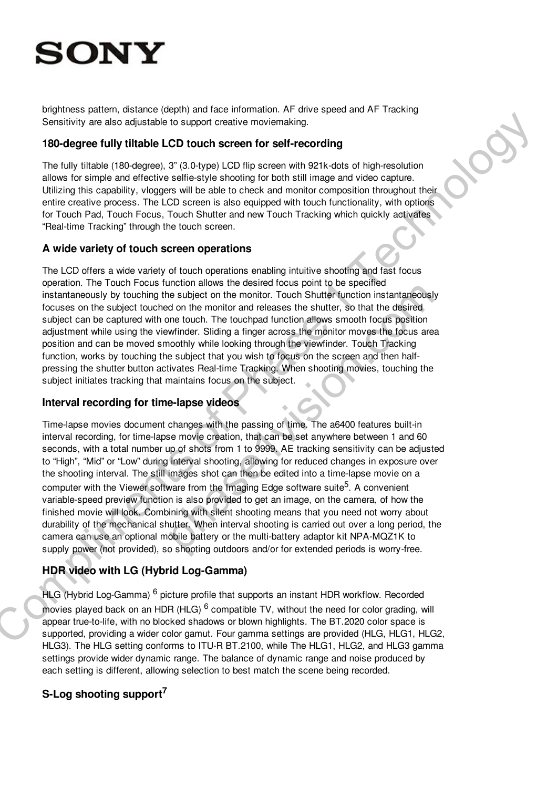brightness pattern, distance (depth) and face information. AF drive speed and AF Tracking Sensitivity are also adjustable to support creative moviemaking.

### **180-degree fully tiltable LCD touch screen for self-recording**

The fully tiltable (180-degree), 3" (3.0-type) LCD flip screen with 921k-dots of high-resolution allows for simple and effective selfie-style shooting for both still image and video capture. Utilizing this capability, vloggers will be able to check and monitor composition throughout their entire creative process. The LCD screen is also equipped with touch functionality, with options for Touch Pad, Touch Focus, Touch Shutter and new Touch Tracking which quickly activates "Real-time Tracking" through the touch screen.

### **A wide variety of touch screen operations**

The LCD offers a wide variety of touch operations enabling intuitive shooting and fast focus operation. The Touch Focus function allows the desired focus point to be specified instantaneously by touching the subject on the monitor. Touch Shutter function instantaneously focuses on the subject touched on the monitor and releases the shutter, so that the desired subject can be captured with one touch. The touchpad function allows smooth focus position adjustment while using the viewfinder. Sliding a finger across the monitor moves the focus area position and can be moved smoothly while looking through the viewfinder. Touch Tracking function, works by touching the subject that you wish to focus on the screen and then halfpressing the shutter button activates Real-time Tracking. When shooting movies, touching the subject initiates tracking that maintains focus on the subject.

## **Interval recording for time-lapse videos**

Time-lapse movies document changes with the passing of time. The a6400 features built-in interval recording, for time-lapse movie creation, that can be set anywhere between 1 and 60 seconds, with a total number up of shots from 1 to 9999. AE tracking sensitivity can be adjusted to "High", "Mid" or "Low" during interval shooting, allowing for reduced changes in exposure over the shooting interval. The still images shot can then be edited into a time-lapse movie on a computer with the Viewer software from the Imaging Edge software suite<sup>5</sup>. A convenient variable-speed preview function is also provided to get an image, on the camera, of how the finished movie will look. Combining with silent shooting means that you need not worry about durability of the mechanical shutter. When interval shooting is carried out over a long period, the camera can use an optional mobile battery or the multi-battery adaptor kit NPA-MQZ1K to supply power (not provided), so shooting outdoors and/or for extended periods is worry-free. Sensitivity are also rejearable to support creative movemating.<br>
19 Geology en this release that the complete that the complete that is a release of the the state of the state of the state of the state of the state of the meanon answ the useral couts plont to be specified<br>in easibject on the monitor. Touch Shutter function instantaneously<br>d on the monitor and releases the shutter, so that the desired<br>me touch. The touchpad function allows s

## **HDR video with LG (Hybrid Log-Gamma)**

HLG (Hybrid Log-Gamma) <sup>6</sup> picture profile that supports an instant HDR workflow. Recorded movies played back on an HDR (HLG) <sup>6</sup> compatible TV, without the need for color grading, will appear true-to-life, with no blocked shadows or blown highlights. The BT.2020 color space is supported, providing a wider color gamut. Four gamma settings are provided (HLG, HLG1, HLG2, HLG3). The HLG setting conforms to ITU-R BT.2100, while The HLG1, HLG2, and HLG3 gamma settings provide wider dynamic range. The balance of dynamic range and noise produced by each setting is different, allowing selection to best match the scene being recorded.

## **S-Log shooting support<sup>7</sup>**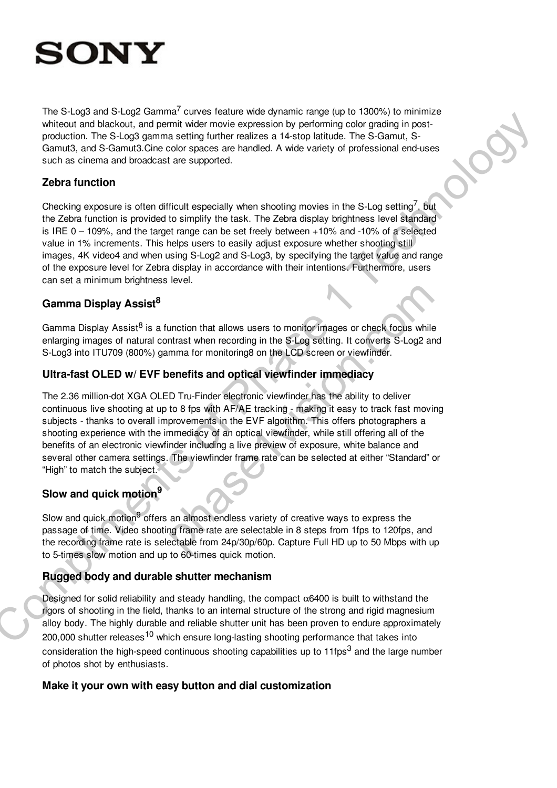

The S-Log3 and S-Log2 Gamma<sup>7</sup> curves feature wide dynamic range (up to 1300%) to minimize whiteout and blackout, and permit wider movie expression by performing color grading in postproduction. The S-Log3 gamma setting further realizes a 14-stop latitude. The S-Gamut, S-Gamut3, and S-Gamut3.Cine color spaces are handled. A wide variety of professional end-uses such as cinema and broadcast are supported.

#### **Zebra function**

Checking exposure is often difficult especially when shooting movies in the S-Log setting<sup>7</sup>, but the Zebra function is provided to simplify the task. The Zebra display brightness level standard is IRE  $0 - 109\%$ , and the target range can be set freely between  $+10\%$  and  $-10\%$  of a selected value in 1% increments. This helps users to easily adjust exposure whether shooting still images, 4K video4 and when using S-Log2 and S-Log3, by specifying the target value and range of the exposure level for Zebra display in accordance with their intentions. Furthermore, users can set a minimum brightness level.

### **Gamma Display Assist<sup>8</sup>**

Gamma Display Assist<sup>8</sup> is a function that allows users to monitor images or check focus while enlarging images of natural contrast when recording in the S-Log setting. It converts S-Log2 and S-Log3 into ITU709 (800%) gamma for monitoring8 on the LCD screen or viewfinder.

### **Ultra-fast OLED w/ EVF benefits and optical viewfinder immediacy**

The 2.36 million-dot XGA OLED Tru-Finder electronic viewfinder has the ability to deliver continuous live shooting at up to 8 fps with AF/AE tracking - making it easy to track fast moving subjects - thanks to overall improvements in the EVF algorithm. This offers photographers a shooting experience with the immediacy of an optical viewfinder, while still offering all of the benefits of an electronic viewfinder including a live preview of exposure, white balance and several other camera settings. The viewfinder frame rate can be selected at either "Standard" or "High" to match the subject. The matrix of the matrix of the matrix measurements of the strong methods of the matrix measurement of the matrix measurement of the matrix measurement of the matrix measurement of the matrix of the matrix of the strong me unction that allows users to monitor images or check focus while<br>thrast when recording in the S-Log setting. It converts S-Log2 an<br>mma for monitoring8 on the LCD screen or viewfinder.<br>**enefits and optical viewfinder immedi** 

# **Slow and quick motion<sup>9</sup>**

Slow and quick motion<sup>9</sup> offers an almost endless variety of creative ways to express the passage of time. Video shooting frame rate are selectable in 8 steps from 1fps to 120fps, and the recording frame rate is selectable from 24p/30p/60p. Capture Full HD up to 50 Mbps with up to 5-times slow motion and up to 60-times quick motion.

### **Rugged body and durable shutter mechanism**

Designed for solid reliability and steady handling, the compact  $\alpha$ 6400 is built to withstand the rigors of shooting in the field, thanks to an internal structure of the strong and rigid magnesium alloy body. The highly durable and reliable shutter unit has been proven to endure approximately 200,000 shutter releases<sup>10</sup> which ensure long-lasting shooting performance that takes into consideration the high-speed continuous shooting capabilities up to 11fps<sup>3</sup> and the large number of photos shot by enthusiasts.

#### **Make it your own with easy button and dial customization**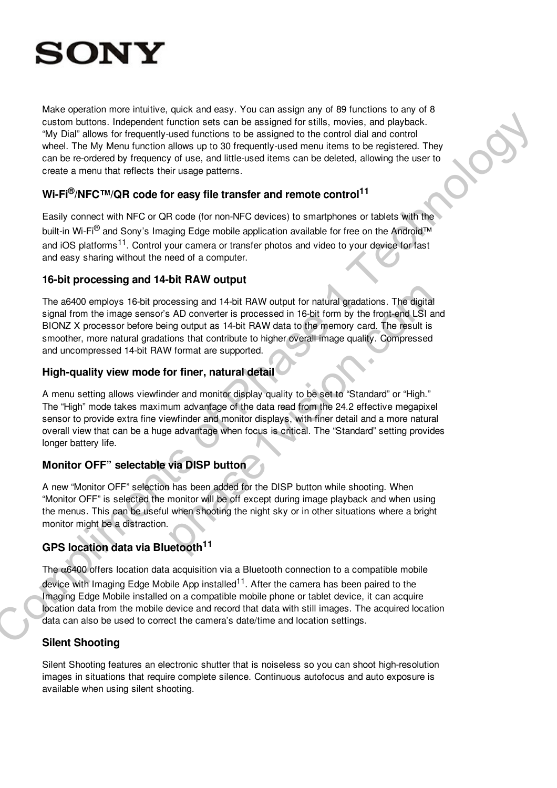

Make operation more intuitive, quick and easy. You can assign any of 89 functions to any of 8 custom buttons. Independent function sets can be assigned for stills, movies, and playback. "My Dial" allows for frequently-used functions to be assigned to the control dial and control wheel. The My Menu function allows up to 30 frequently-used menu items to be registered. They can be re-ordered by frequency of use, and little-used items can be deleted, allowing the user to create a menu that reflects their usage patterns. oution busines include the molecule of the prior and series on the assigned for statis. The physical diverse include the molecule of the molecule of the molecule of the molecule of the molecule of the molecule of the mol

### **Wi-Fi®/NFC™/QR code for easy file transfer and remote control<sup>11</sup>**

Easily connect with NFC or QR code (for non-NFC devices) to smartphones or tablets with the built-in Wi-Fi<sup>®</sup> and Sony's Imaging Edge mobile application available for free on the Android™ and iOS platforms<sup>11</sup>. Control your camera or transfer photos and video to your device for fast and easy sharing without the need of a computer.

#### **16-bit processing and 14-bit RAW output**

The a6400 employs 16-bit processing and 14-bit RAW output for natural gradations. The digital signal from the image sensor's AD converter is processed in 16-bit form by the front-end LSI and BIONZ X processor before being output as 14-bit RAW data to the memory card. The result is smoother, more natural gradations that contribute to higher overall image quality. Compressed and uncompressed 14-bit RAW format are supported. bessing and 14-bit RAW output for natural gradations. The digital<br>
is AD converter is processed in 16-bit form by the front-end LSI and<br>
ing output as 14-bit RAW data to the memory card. The result is<br>
ions that contribute

#### **High-quality view mode for finer, natural detail**

A menu setting allows viewfinder and monitor display quality to be set to "Standard" or "High." The "High" mode takes maximum advantage of the data read from the 24.2 effective megapixel sensor to provide extra fine viewfinder and monitor displays, with finer detail and a more natural overall view that can be a huge advantage when focus is critical. The "Standard" setting provides longer battery life.

## **Monitor OFF" selectable via DISP button**

A new "Monitor OFF" selection has been added for the DISP button while shooting. When "Monitor OFF" is selected the monitor will be off except during image playback and when using the menus. This can be useful when shooting the night sky or in other situations where a bright monitor might be a distraction.

### **GPS location data via Bluetooth<sup>11</sup>**

The  $\alpha$ 6400 offers location data acquisition via a Bluetooth connection to a compatible mobile device with Imaging Edge Mobile App installed<sup>11</sup>. After the camera has been paired to the Imaging Edge Mobile installed on a compatible mobile phone or tablet device, it can acquire location data from the mobile device and record that data with still images. The acquired location data can also be used to correct the camera's date/time and location settings.

#### **Silent Shooting**

Silent Shooting features an electronic shutter that is noiseless so you can shoot high-resolution images in situations that require complete silence. Continuous autofocus and auto exposure is available when using silent shooting.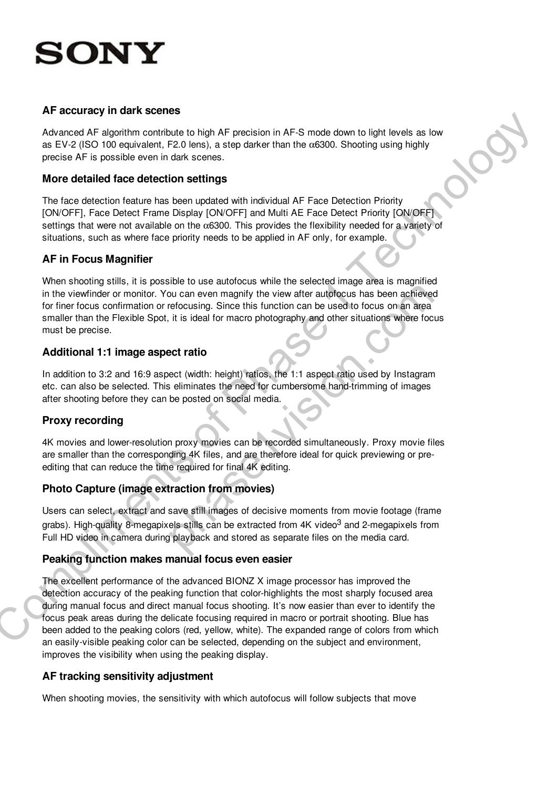# ONY

### **AF accuracy in dark scenes**

Advanced AF algorithm contribute to high AF precision in AF-S mode down to light levels as low as EV-2 (ISO 100 equivalent, F2.0 lens), a step darker than the  $\alpha$ 6300. Shooting using highly precise AF is possible even in dark scenes.

### **More detailed face detection settings**

The face detection feature has been updated with individual AF Face Detection Priority [ON/OFF], Face Detect Frame Display [ON/OFF] and Multi AE Face Detect Priority [ON/OFF] settings that were not available on the  $\alpha$ 6300. This provides the flexibility needed for a variety of situations, such as where face priority needs to be applied in AF only, for example.

### **AF in Focus Magnifier**

When shooting stills, it is possible to use autofocus while the selected image area is magnified in the viewfinder or monitor. You can even magnify the view after autofocus has been achieved for finer focus confirmation or refocusing. Since this function can be used to focus on an area smaller than the Flexible Spot, it is ideal for macro photography and other situations where focus must be precise. but can even magnify the view after autofocus has been achieved<br>put can even magnify the view after autofocus has been achieved<br>refocusing. Since this function can be used to focus on an area<br>it is ideal for macro photogra

### **Additional 1:1 image aspect ratio**

In addition to 3:2 and 16:9 aspect (width: height) ratios, the 1:1 aspect ratio used by Instagram etc. can also be selected. This eliminates the need for cumbersome hand-trimming of images after shooting before they can be posted on social media.

## **Proxy recording**

4K movies and lower-resolution proxy movies can be recorded simultaneously. Proxy movie files are smaller than the corresponding 4K files, and are therefore ideal for quick previewing or preediting that can reduce the time required for final 4K editing.

## **Photo Capture (image extraction from movies)**

Users can select, extract and save still images of decisive moments from movie footage (frame grabs). High-quality 8-megapixels stills can be extracted from 4K video<sup>3</sup> and 2-megapixels from Full HD video in camera during playback and stored as separate files on the media card.

### **Peaking function makes manual focus even easier**

The excellent performance of the advanced BIONZ X image processor has improved the detection accuracy of the peaking function that color-highlights the most sharply focused area during manual focus and direct manual focus shooting. It's now easier than ever to identify the focus peak areas during the delicate focusing required in macro or portrait shooting. Blue has been added to the peaking colors (red, yellow, white). The expanded range of colors from which an easily-visible peaking color can be selected, depending on the subject and environment, improves the visibility when using the peaking display. Are user to the societies of the properties of the properties of the society of the society of the society of the society of the society of CO operation of the society of CO operation of the society of CO operation of the

## **AF tracking sensitivity adjustment**

When shooting movies, the sensitivity with which autofocus will follow subjects that move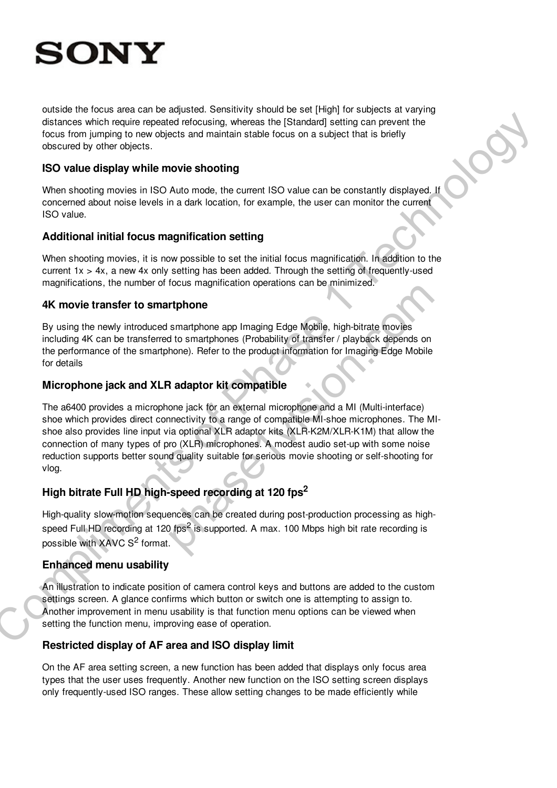# ON

outside the focus area can be adjusted. Sensitivity should be set [High] for subjects at varying distances which require repeated refocusing, whereas the [Standard] setting can prevent the focus from jumping to new objects and maintain stable focus on a subject that is briefly obscured by other objects.

#### **ISO value display while movie shooting**

When shooting movies in ISO Auto mode, the current ISO value can be constantly displayed. If concerned about noise levels in a dark location, for example, the user can monitor the current ISO value.

#### **Additional initial focus magnification setting**

When shooting movies, it is now possible to set the initial focus magnification. In addition to the current 1x > 4x, a new 4x only setting has been added. Through the setting of frequently-used magnifications, the number of focus magnification operations can be minimized.

#### **4K movie transfer to smartphone**

By using the newly introduced smartphone app Imaging Edge Mobile, high-bitrate movies including 4K can be transferred to smartphones (Probability of transfer / playback depends on the performance of the smartphone). Refer to the product information for Imaging Edge Mobile for details

### **Microphone jack and XLR adaptor kit compatible**

The a6400 provides a microphone jack for an external microphone and a MI (Multi-interface) shoe which provides direct connectivity to a range of compatible MI-shoe microphones. The MIshoe also provides line input via optional XLR adaptor kits (XLR-K2M/XLR-K1M) that allow the connection of many types of pro (XLR) microphones. A modest audio set-up with some noise reduction supports better sound quality suitable for serious movie shooting or self-shooting for vlog. disciples which equilibre recession effects of the complete matrix and a state of the matrix of the control of the complete and the complete the complete of the complete of the complete of the complete of the complete of t Triphone<br>
smartphone app Imaging Edge Mobile, high-bitrate movies<br>
d to smartphones (Probability of transfer / playback depends on<br>
hone). Refer to the product information for Imaging Edge Mobile<br>
a daptor kit compatible<br>

# **High bitrate Full HD high-speed recording at 120 fps<sup>2</sup>**

High-quality slow-motion sequences can be created during post-production processing as highspeed Full HD recording at 120 fps<sup>2</sup> is supported. A max. 100 Mbps high bit rate recording is possible with XAVC  $S^2$  format.

### **Enhanced menu usability**

An illustration to indicate position of camera control keys and buttons are added to the custom settings screen. A glance confirms which button or switch one is attempting to assign to. Another improvement in menu usability is that function menu options can be viewed when setting the function menu, improving ease of operation.

### **Restricted display of AF area and ISO display limit**

On the AF area setting screen, a new function has been added that displays only focus area types that the user uses frequently. Another new function on the ISO setting screen displays only frequently-used ISO ranges. These allow setting changes to be made efficiently while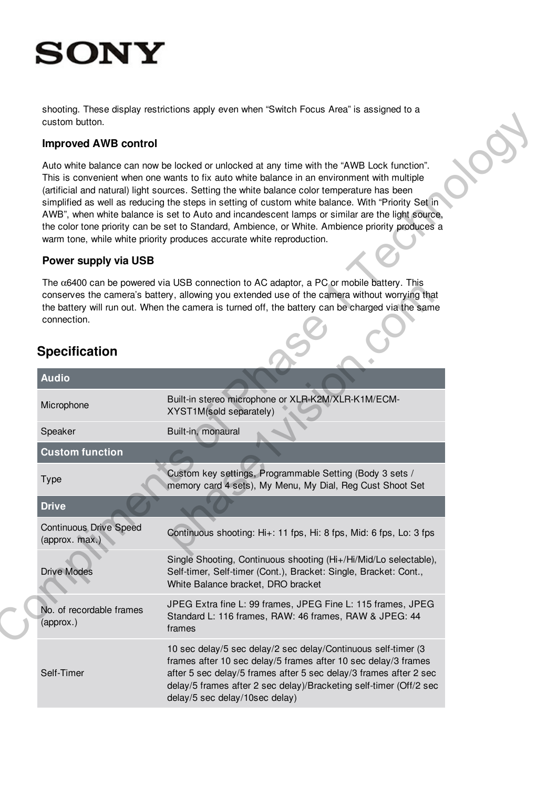shooting. These display restrictions apply even when "Switch Focus Area" is assigned to a custom button.

### **Improved AWB control**

#### **Power supply via USB**

# **Specification**

| custom button.                                  |                                                                                                                                                                                                                                                                                                                                                                                                                                                                                                                                                                                                                                                                                 |
|-------------------------------------------------|---------------------------------------------------------------------------------------------------------------------------------------------------------------------------------------------------------------------------------------------------------------------------------------------------------------------------------------------------------------------------------------------------------------------------------------------------------------------------------------------------------------------------------------------------------------------------------------------------------------------------------------------------------------------------------|
| <b>Improved AWB control</b>                     |                                                                                                                                                                                                                                                                                                                                                                                                                                                                                                                                                                                                                                                                                 |
|                                                 | Auto white balance can now be locked or unlocked at any time with the "AWB Lock function".<br>This is convenient when one wants to fix auto white balance in an environment with multiple<br>(artificial and natural) light sources. Setting the white balance color temperature has been<br>simplified as well as reducing the steps in setting of custom white balance. With "Priority Set in<br>AWB", when white balance is set to Auto and incandescent lamps or similar are the light source,<br>the color tone priority can be set to Standard, Ambience, or White. Ambience priority produces a<br>warm tone, while white priority produces accurate white reproduction. |
| Power supply via USB                            |                                                                                                                                                                                                                                                                                                                                                                                                                                                                                                                                                                                                                                                                                 |
| connection.<br><b>Specification</b>             | The $\alpha$ 6400 can be powered via USB connection to AC adaptor, a PC or mobile battery. This<br>conserves the camera's battery, allowing you extended use of the camera without worrying that<br>the battery will run out. When the camera is turned off, the battery can be charged via the same                                                                                                                                                                                                                                                                                                                                                                            |
| <b>Audio</b>                                    |                                                                                                                                                                                                                                                                                                                                                                                                                                                                                                                                                                                                                                                                                 |
| Microphone                                      | Built-in stereo microphone or XLR-K2M/XLR-K1M/ECM-<br>XYST1M(sold separately)                                                                                                                                                                                                                                                                                                                                                                                                                                                                                                                                                                                                   |
| Speaker                                         | Built-in, monaural                                                                                                                                                                                                                                                                                                                                                                                                                                                                                                                                                                                                                                                              |
| <b>Custom function</b>                          |                                                                                                                                                                                                                                                                                                                                                                                                                                                                                                                                                                                                                                                                                 |
| <b>Type</b>                                     | Custom key settings, Programmable Setting (Body 3 sets /<br>memory card 4 sets), My Menu, My Dial, Reg Cust Shoot Set                                                                                                                                                                                                                                                                                                                                                                                                                                                                                                                                                           |
| <b>Drive</b>                                    |                                                                                                                                                                                                                                                                                                                                                                                                                                                                                                                                                                                                                                                                                 |
| <b>Continuous Drive Speed</b><br>(approx. max.) | Continuous shooting: Hi+: 11 fps, Hi: 8 fps, Mid: 6 fps, Lo: 3 fps                                                                                                                                                                                                                                                                                                                                                                                                                                                                                                                                                                                                              |
| <b>Drive Modes</b>                              | Single Shooting, Continuous shooting (Hi+/Hi/Mid/Lo selectable),<br>Self-timer, Self-timer (Cont.), Bracket: Single, Bracket: Cont.,<br>White Balance bracket, DRO bracket                                                                                                                                                                                                                                                                                                                                                                                                                                                                                                      |
| No. of recordable frames<br>(approx.)           | JPEG Extra fine L: 99 frames, JPEG Fine L: 115 frames, JPEG<br>Standard L: 116 frames, RAW: 46 frames, RAW & JPEG: 44<br>frames                                                                                                                                                                                                                                                                                                                                                                                                                                                                                                                                                 |
| Self-Timer                                      | 10 sec delay/5 sec delay/2 sec delay/Continuous self-timer (3<br>frames after 10 sec delay/5 frames after 10 sec delay/3 frames<br>after 5 sec delay/5 frames after 5 sec delay/3 frames after 2 sec<br>delay/5 frames after 2 sec delay)/Bracketing self-timer (Off/2 sec<br>delay/5 sec delay/10sec delay)                                                                                                                                                                                                                                                                                                                                                                    |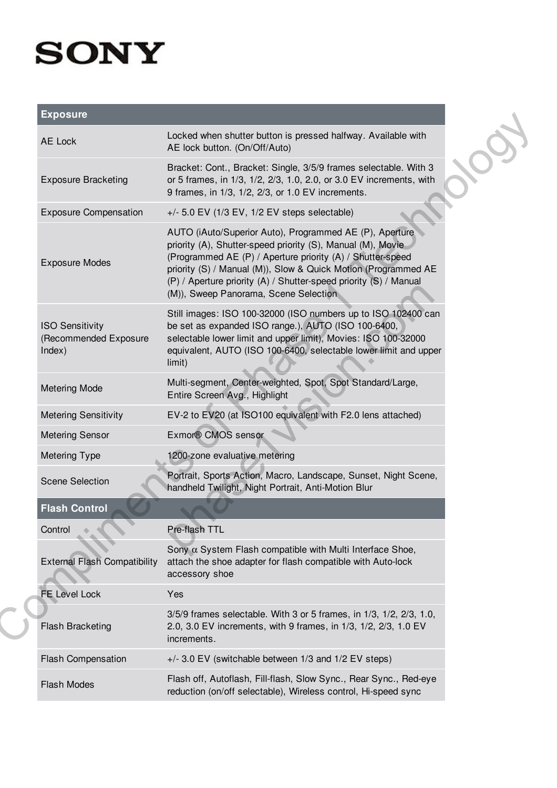| <b>Exposure</b> |
|-----------------|
|                 |

| <b>Exposure</b>                                           |                                                                                                                                                                                                                                                                                                                                                                      |
|-----------------------------------------------------------|----------------------------------------------------------------------------------------------------------------------------------------------------------------------------------------------------------------------------------------------------------------------------------------------------------------------------------------------------------------------|
| AE Lock                                                   | Locked when shutter button is pressed halfway. Available with<br>AE lock button. (On/Off/Auto)                                                                                                                                                                                                                                                                       |
| <b>Exposure Bracketing</b>                                | Bracket: Cont., Bracket: Single, 3/5/9 frames selectable. With 3<br>or 5 frames, in 1/3, 1/2, 2/3, 1.0, 2.0, or 3.0 EV increments, with<br>9 frames, in 1/3, 1/2, 2/3, or 1.0 EV increments.                                                                                                                                                                         |
| <b>Exposure Compensation</b>                              | $+/-$ 5.0 EV (1/3 EV, 1/2 EV steps selectable)                                                                                                                                                                                                                                                                                                                       |
| <b>Exposure Modes</b>                                     | AUTO (iAuto/Superior Auto), Programmed AE (P), Aperture<br>priority (A), Shutter-speed priority (S), Manual (M), Movie<br>(Programmed AE (P) / Aperture priority (A) / Shutter-speed<br>priority (S) / Manual (M)), Slow & Quick Motion (Programmed AE<br>(P) / Aperture priority (A) / Shutter-speed priority (S) / Manual<br>(M)), Sweep Panorama, Scene Selection |
| <b>ISO Sensitivity</b><br>(Recommended Exposure<br>Index) | Still images: ISO 100-32000 (ISO numbers up to ISO 102400 can<br>be set as expanded ISO range.), AUTO (ISO 100-6400,<br>selectable lower limit and upper limit), Movies: ISO 100-32000<br>equivalent, AUTO (ISO 100-6400, selectable lower limit and upper<br>limit)                                                                                                 |
| <b>Metering Mode</b>                                      | Multi-segment, Center-weighted, Spot, Spot Standard/Large,<br>Entire Screen Avg., Highlight                                                                                                                                                                                                                                                                          |
| <b>Metering Sensitivity</b>                               | EV-2 to EV20 (at ISO100 equivalent with F2.0 lens attached)                                                                                                                                                                                                                                                                                                          |
| <b>Metering Sensor</b>                                    | Exmor® CMOS sensor                                                                                                                                                                                                                                                                                                                                                   |
| <b>Metering Type</b>                                      | 1200-zone evaluative metering                                                                                                                                                                                                                                                                                                                                        |
| <b>Scene Selection</b>                                    | Portrait, Sports Action, Macro, Landscape, Sunset, Night Scene,<br>handheld Twilight, Night Portrait, Anti-Motion Blur                                                                                                                                                                                                                                               |
| <b>Flash Control</b>                                      |                                                                                                                                                                                                                                                                                                                                                                      |
| Control                                                   | Pre-flash TTL                                                                                                                                                                                                                                                                                                                                                        |
| <b>External Flash Compatibility</b>                       | Sony $\alpha$ System Flash compatible with Multi Interface Shoe,<br>attach the shoe adapter for flash compatible with Auto-lock<br>accessory shoe                                                                                                                                                                                                                    |
| <b>FE Level Lock</b>                                      | Yes                                                                                                                                                                                                                                                                                                                                                                  |
| <b>Flash Bracketing</b>                                   | 3/5/9 frames selectable. With 3 or 5 frames, in 1/3, 1/2, 2/3, 1.0,<br>2.0, 3.0 EV increments, with 9 frames, in 1/3, 1/2, 2/3, 1.0 EV<br>increments.                                                                                                                                                                                                                |
| <b>Flash Compensation</b>                                 | +/- 3.0 EV (switchable between 1/3 and 1/2 EV steps)                                                                                                                                                                                                                                                                                                                 |
| <b>Flash Modes</b>                                        | Flash off, Autoflash, Fill-flash, Slow Sync., Rear Sync., Red-eye<br>reduction (on/off selectable), Wireless control, Hi-speed sync                                                                                                                                                                                                                                  |
|                                                           |                                                                                                                                                                                                                                                                                                                                                                      |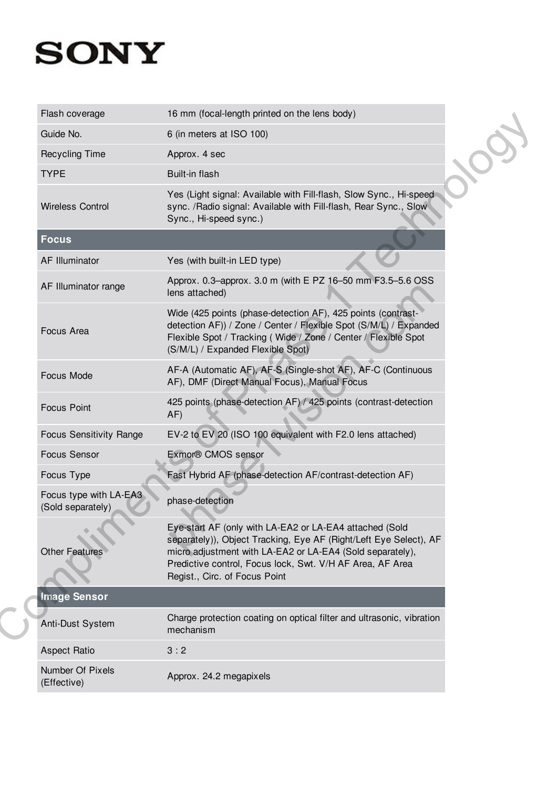| Flash coverage                              | 16 mm (focal-length printed on the lens body)                                                                                                                                                                                                                                           |  |
|---------------------------------------------|-----------------------------------------------------------------------------------------------------------------------------------------------------------------------------------------------------------------------------------------------------------------------------------------|--|
| Guide No.                                   | 6 (in meters at ISO 100)                                                                                                                                                                                                                                                                |  |
| <b>Recycling Time</b>                       | Approx. 4 sec                                                                                                                                                                                                                                                                           |  |
| <b>TYPE</b>                                 | Built-in flash                                                                                                                                                                                                                                                                          |  |
| <b>Wireless Control</b>                     | Yes (Light signal: Available with Fill-flash, Slow Sync., Hi-speed<br>sync. /Radio signal: Available with Fill-flash, Rear Sync., Slow<br>Sync., Hi-speed sync.)                                                                                                                        |  |
| <b>Focus</b>                                |                                                                                                                                                                                                                                                                                         |  |
| <b>AF Illuminator</b>                       | Yes (with built-in LED type)                                                                                                                                                                                                                                                            |  |
| AF Illuminator range                        | Approx. 0.3-approx. 3.0 m (with E PZ 16-50 mm F3.5-5.6 OSS<br>lens attached)                                                                                                                                                                                                            |  |
| Focus Area                                  | Wide (425 points (phase-detection AF), 425 points (contrast-<br>detection AF)) / Zone / Center / Flexible Spot (S/M/L) / Expanded<br>Flexible Spot / Tracking (Wide / Zone / Center / Flexible Spot<br>(S/M/L) / Expanded Flexible Spot)                                                |  |
| Focus Mode                                  | AF-A (Automatic AF), AF-S (Single-shot AF), AF-C (Continuous<br>AF), DMF (Direct Manual Focus), Manual Focus                                                                                                                                                                            |  |
| <b>Focus Point</b>                          | 425 points (phase-detection AF) / 425 points (contrast-detection<br>AF)                                                                                                                                                                                                                 |  |
| <b>Focus Sensitivity Range</b>              | EV-2 to EV 20 (ISO 100 equivalent with F2.0 lens attached)                                                                                                                                                                                                                              |  |
| <b>Focus Sensor</b>                         | Exmor® CMOS sensor                                                                                                                                                                                                                                                                      |  |
| Focus Type                                  | Fast Hybrid AF (phase-detection AF/contrast-detection AF)                                                                                                                                                                                                                               |  |
| Focus type with LA-EA3<br>(Sold separately) | phase-detection                                                                                                                                                                                                                                                                         |  |
| <b>Other Features</b>                       | Eye-start AF (only with LA-EA2 or LA-EA4 attached (Sold<br>separately)), Object Tracking, Eye AF (Right/Left Eye Select), AF<br>micro adjustment with LA-EA2 or LA-EA4 (Sold separately),<br>Predictive control, Focus lock, Swt. V/H AF Area, AF Area<br>Regist., Circ. of Focus Point |  |
| <b>Image Sensor</b>                         |                                                                                                                                                                                                                                                                                         |  |
| Anti-Dust System                            | Charge protection coating on optical filter and ultrasonic, vibration<br>mechanism                                                                                                                                                                                                      |  |
| <b>Aspect Ratio</b>                         | 3:2                                                                                                                                                                                                                                                                                     |  |
| Number Of Pixels<br>(Effective)             | Approx. 24.2 megapixels                                                                                                                                                                                                                                                                 |  |
|                                             |                                                                                                                                                                                                                                                                                         |  |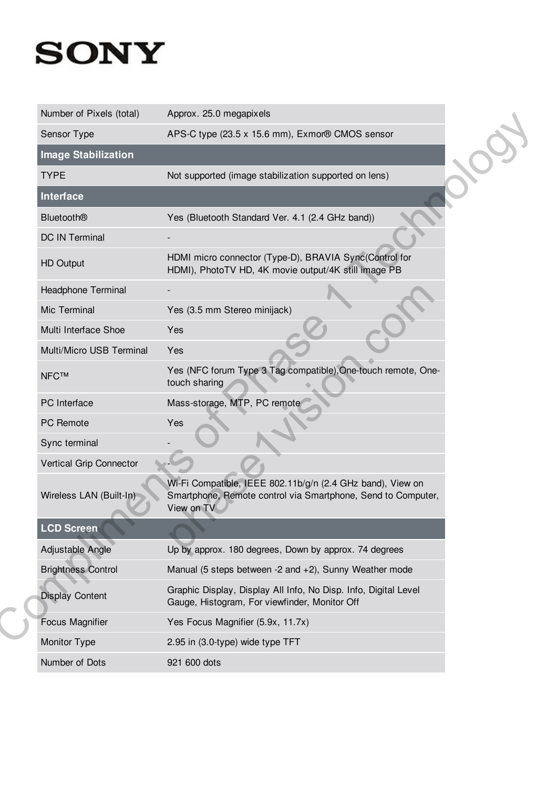| Number of Pixels (total)   | Approx. 25.0 megapixels                                                                                                                  |  |
|----------------------------|------------------------------------------------------------------------------------------------------------------------------------------|--|
| Sensor Type                | APS-C type (23.5 x 15.6 mm), Exmor® CMOS sensor                                                                                          |  |
| <b>Image Stabilization</b> |                                                                                                                                          |  |
| <b>TYPE</b>                | Not supported (image stabilization supported on lens)                                                                                    |  |
| <b>Interface</b>           |                                                                                                                                          |  |
| <b>Bluetooth®</b>          | Yes (Bluetooth Standard Ver. 4.1 (2.4 GHz band))                                                                                         |  |
| DC IN Terminal             |                                                                                                                                          |  |
| <b>HD Output</b>           | HDMI micro connector (Type-D), BRAVIA Sync(Control for<br>HDMI), PhotoTV HD, 4K movie output/4K still image PB                           |  |
| Headphone Terminal         |                                                                                                                                          |  |
| Mic Terminal               | Yes (3.5 mm Stereo minijack)                                                                                                             |  |
| Multi Interface Shoe       | Yes                                                                                                                                      |  |
| Multi/Micro USB Terminal   | Yes                                                                                                                                      |  |
| <b>NFC™</b>                | Yes (NFC forum Type 3 Tag compatible), One-touch remote, One-<br>touch sharing                                                           |  |
| PC Interface               | Mass-storage, MTP, PC remote                                                                                                             |  |
| PC Remote                  | Yes                                                                                                                                      |  |
| Sync terminal              |                                                                                                                                          |  |
| Vertical Grip Connector    |                                                                                                                                          |  |
| Wireless LAN (Built-In)    | Wi-Fi Compatible, IEEE 802.11b/g/n (2.4 GHz band), View on<br>Smartphone, Remote control via Smartphone, Send to Computer,<br>View on TV |  |
| <b>LCD Screen</b>          |                                                                                                                                          |  |
| Adjustable Angle           | Up by approx. 180 degrees, Down by approx. 74 degrees                                                                                    |  |
| <b>Brightness Control</b>  | Manual (5 steps between -2 and +2), Sunny Weather mode                                                                                   |  |
| <b>Display Content</b>     | Graphic Display, Display All Info, No Disp. Info, Digital Level<br>Gauge, Histogram, For viewfinder, Monitor Off                         |  |
| <b>Focus Magnifier</b>     | Yes Focus Magnifier (5.9x, 11.7x)                                                                                                        |  |
| Monitor Type               | 2.95 in (3.0-type) wide type TFT                                                                                                         |  |
| Number of Dots             | 921 600 dots                                                                                                                             |  |
|                            |                                                                                                                                          |  |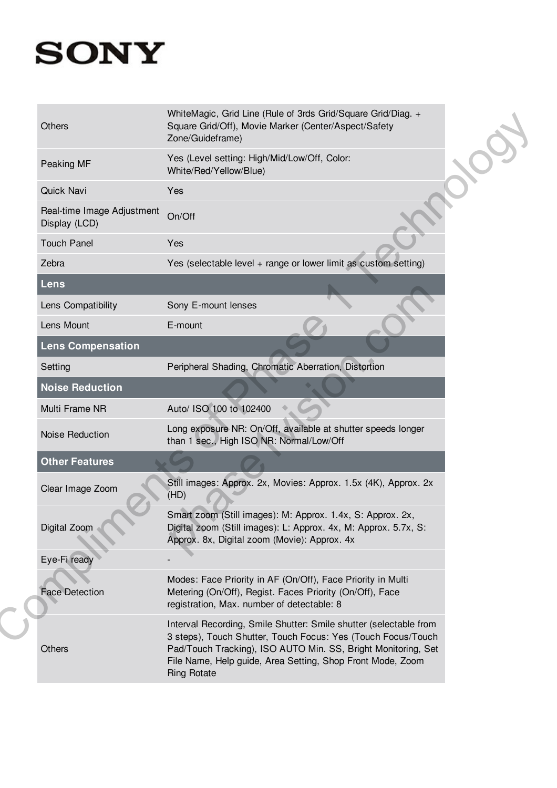| Others                                      | WhiteMagic, Grid Line (Rule of 3rds Grid/Square Grid/Diag. +<br>Square Grid/Off), Movie Marker (Center/Aspect/Safety<br>Zone/Guideframe)                                                                                                                                               |  |
|---------------------------------------------|----------------------------------------------------------------------------------------------------------------------------------------------------------------------------------------------------------------------------------------------------------------------------------------|--|
| Peaking MF                                  | Yes (Level setting: High/Mid/Low/Off, Color:<br>White/Red/Yellow/Blue)                                                                                                                                                                                                                 |  |
| <b>Quick Navi</b>                           | Yes                                                                                                                                                                                                                                                                                    |  |
| Real-time Image Adjustment<br>Display (LCD) | On/Off                                                                                                                                                                                                                                                                                 |  |
| <b>Touch Panel</b>                          | Yes                                                                                                                                                                                                                                                                                    |  |
| Zebra                                       | Yes (selectable level + range or lower limit as custom setting)                                                                                                                                                                                                                        |  |
| <b>Lens</b>                                 |                                                                                                                                                                                                                                                                                        |  |
| Lens Compatibility                          | Sony E-mount lenses                                                                                                                                                                                                                                                                    |  |
| Lens Mount                                  | E-mount                                                                                                                                                                                                                                                                                |  |
| Lens Compensation                           |                                                                                                                                                                                                                                                                                        |  |
| Setting                                     | Peripheral Shading, Chromatic Aberration, Distortion                                                                                                                                                                                                                                   |  |
| <b>Noise Reduction</b>                      |                                                                                                                                                                                                                                                                                        |  |
| Multi Frame NR                              | Auto/ ISO 100 to 102400                                                                                                                                                                                                                                                                |  |
| Noise Reduction                             | Long exposure NR: On/Off, available at shutter speeds longer<br>than 1 sec., High ISO NR: Normal/Low/Off                                                                                                                                                                               |  |
| <b>Other Features</b>                       |                                                                                                                                                                                                                                                                                        |  |
| Clear Image Zoom                            | Still images: Approx. 2x, Movies: Approx. 1.5x (4K), Approx. 2x<br>(HD)                                                                                                                                                                                                                |  |
| Digital Zoom                                | Smart zoom (Still images): M: Approx. 1.4x, S: Approx. 2x,<br>Digital zoom (Still images): L: Approx. 4x, M: Approx. 5.7x, S:<br>Approx. 8x, Digital zoom (Movie): Approx. 4x                                                                                                          |  |
| Eye-Fi ready                                |                                                                                                                                                                                                                                                                                        |  |
| <b>Face Detection</b>                       | Modes: Face Priority in AF (On/Off), Face Priority in Multi<br>Metering (On/Off), Regist. Faces Priority (On/Off), Face<br>registration, Max. number of detectable: 8                                                                                                                  |  |
| Others                                      | Interval Recording, Smile Shutter: Smile shutter (selectable from<br>3 steps), Touch Shutter, Touch Focus: Yes (Touch Focus/Touch<br>Pad/Touch Tracking), ISO AUTO Min. SS, Bright Monitoring, Set<br>File Name, Help guide, Area Setting, Shop Front Mode, Zoom<br><b>Ring Rotate</b> |  |
|                                             |                                                                                                                                                                                                                                                                                        |  |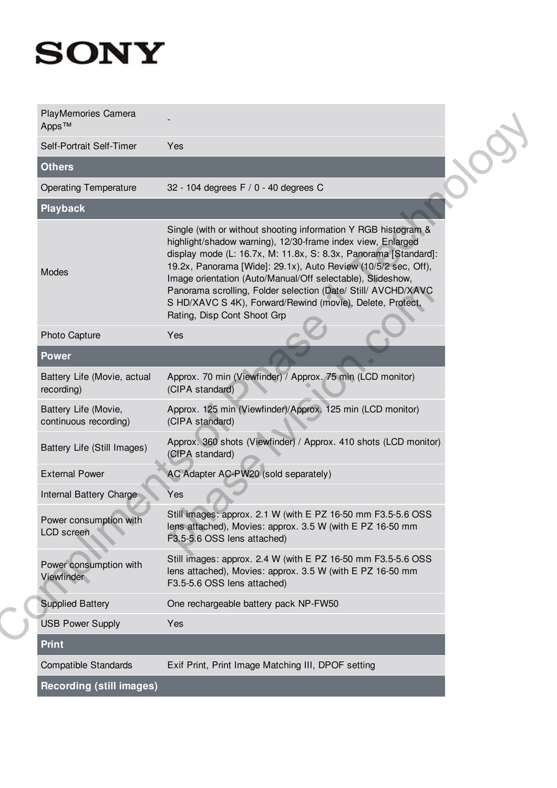| <b>PlayMemories Camera</b><br>Apps <sup>™</sup><br>Self-Portrait Self-Timer |                                                                                                                                                                                                                                                                                                                                                                                                                                                                                               |  |
|-----------------------------------------------------------------------------|-----------------------------------------------------------------------------------------------------------------------------------------------------------------------------------------------------------------------------------------------------------------------------------------------------------------------------------------------------------------------------------------------------------------------------------------------------------------------------------------------|--|
|                                                                             |                                                                                                                                                                                                                                                                                                                                                                                                                                                                                               |  |
|                                                                             | Yes                                                                                                                                                                                                                                                                                                                                                                                                                                                                                           |  |
| <b>Others</b>                                                               |                                                                                                                                                                                                                                                                                                                                                                                                                                                                                               |  |
| <b>Operating Temperature</b>                                                | 32 - 104 degrees F / 0 - 40 degrees C                                                                                                                                                                                                                                                                                                                                                                                                                                                         |  |
| <b>Playback</b>                                                             |                                                                                                                                                                                                                                                                                                                                                                                                                                                                                               |  |
| Modes                                                                       | Single (with or without shooting information Y RGB histogram &<br>highlight/shadow warning), 12/30-frame index view, Enlarged<br>display mode (L: 16.7x, M: 11.8x, S: 8.3x, Panorama [Standard]:<br>19.2x, Panorama [Wide]: 29.1x), Auto Review (10/5/2 sec, Off),<br>Image orientation (Auto/Manual/Off selectable), Slideshow,<br>Panorama scrolling, Folder selection (Date/ Still/ AVCHD/XAVC<br>S HD/XAVC S 4K), Forward/Rewind (movie), Delete, Protect,<br>Rating, Disp Cont Shoot Grp |  |
| Photo Capture                                                               | Yes                                                                                                                                                                                                                                                                                                                                                                                                                                                                                           |  |
| <b>Power</b>                                                                |                                                                                                                                                                                                                                                                                                                                                                                                                                                                                               |  |
| Battery Life (Movie, actual<br>recording)                                   | Approx. 70 min (Viewfinder) / Approx. 75 min (LCD monitor)<br>(CIPA standard)                                                                                                                                                                                                                                                                                                                                                                                                                 |  |
| Battery Life (Movie,<br>continuous recording)                               | Approx. 125 min (Viewfinder)/Approx. 125 min (LCD monitor)<br>(CIPA standard)                                                                                                                                                                                                                                                                                                                                                                                                                 |  |
| Battery Life (Still Images)                                                 | Approx. 360 shots (Viewfinder) / Approx. 410 shots (LCD monitor)<br>(CIPA standard)                                                                                                                                                                                                                                                                                                                                                                                                           |  |
| <b>External Power</b>                                                       | AC Adapter AC-PW20 (sold separately)                                                                                                                                                                                                                                                                                                                                                                                                                                                          |  |
| Internal Battery Charge                                                     | Yes                                                                                                                                                                                                                                                                                                                                                                                                                                                                                           |  |
| Power consumption with<br><b>LCD</b> screen                                 | Still images: approx. 2.1 W (with E PZ 16-50 mm F3.5-5.6 OSS<br>lens attached), Movies: approx. 3.5 W (with E PZ 16-50 mm<br>F3.5-5.6 OSS lens attached)                                                                                                                                                                                                                                                                                                                                      |  |
| Power consumption with<br>Viewfinder                                        | Still images: approx. 2.4 W (with E PZ 16-50 mm F3.5-5.6 OSS<br>lens attached), Movies: approx. 3.5 W (with E PZ 16-50 mm<br>F3.5-5.6 OSS lens attached)                                                                                                                                                                                                                                                                                                                                      |  |
| <b>Supplied Battery</b>                                                     | One rechargeable battery pack NP-FW50                                                                                                                                                                                                                                                                                                                                                                                                                                                         |  |
| <b>USB Power Supply</b>                                                     | Yes                                                                                                                                                                                                                                                                                                                                                                                                                                                                                           |  |
| <b>Print</b>                                                                |                                                                                                                                                                                                                                                                                                                                                                                                                                                                                               |  |
| <b>Compatible Standards</b>                                                 | Exif Print, Print Image Matching III, DPOF setting                                                                                                                                                                                                                                                                                                                                                                                                                                            |  |
| <b>Recording (still images)</b>                                             |                                                                                                                                                                                                                                                                                                                                                                                                                                                                                               |  |
|                                                                             |                                                                                                                                                                                                                                                                                                                                                                                                                                                                                               |  |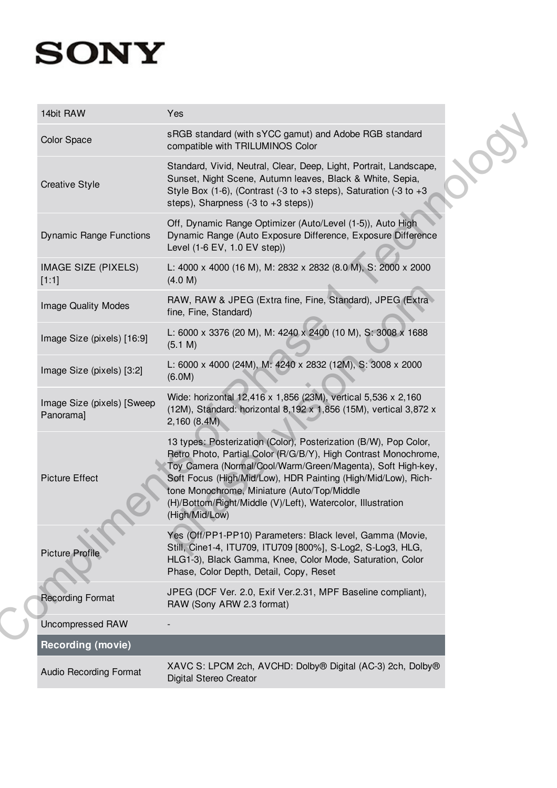| 14bit RAW                               | Yes                                                                                                                                                                                                                                                                                                                                                                                                 |
|-----------------------------------------|-----------------------------------------------------------------------------------------------------------------------------------------------------------------------------------------------------------------------------------------------------------------------------------------------------------------------------------------------------------------------------------------------------|
| <b>Color Space</b>                      | sRGB standard (with sYCC gamut) and Adobe RGB standard<br>compatible with TRILUMINOS Color                                                                                                                                                                                                                                                                                                          |
| <b>Creative Style</b>                   | Standard, Vivid, Neutral, Clear, Deep, Light, Portrait, Landscape,<br>Sunset, Night Scene, Autumn leaves, Black & White, Sepia,<br>Style Box (1-6), (Contrast (-3 to +3 steps), Saturation (-3 to +3<br>steps), Sharpness $(-3 \text{ to } +3 \text{ steps}))$                                                                                                                                      |
| <b>Dynamic Range Functions</b>          | Off, Dynamic Range Optimizer (Auto/Level (1-5)), Auto High<br>Dynamic Range (Auto Exposure Difference, Exposure Difference<br>Level (1-6 EV, 1.0 EV step))                                                                                                                                                                                                                                          |
| IMAGE SIZE (PIXELS)<br>[1:1]            | L: 4000 x 4000 (16 M), M: 2832 x 2832 (8.0 M), S: 2000 x 2000<br>(4.0 M)                                                                                                                                                                                                                                                                                                                            |
| <b>Image Quality Modes</b>              | RAW, RAW & JPEG (Extra fine, Fine, Standard), JPEG (Extra<br>fine, Fine, Standard)                                                                                                                                                                                                                                                                                                                  |
| Image Size (pixels) [16:9]              | L: 6000 x 3376 (20 M), M: 4240 x 2400 (10 M), S: 3008 x 1688<br>(5.1 M)                                                                                                                                                                                                                                                                                                                             |
| Image Size (pixels) [3:2]               | L: 6000 x 4000 (24M), M: 4240 x 2832 (12M), S: 3008 x 2000<br>(6.0M)                                                                                                                                                                                                                                                                                                                                |
| Image Size (pixels) [Sweep<br>Panorama] | Wide: horizontal 12,416 x 1,856 (23M), vertical 5,536 x 2,160<br>(12M), Standard: horizontal 8,192 x 1,856 (15M), vertical 3,872 x<br>2,160 (8.4M)                                                                                                                                                                                                                                                  |
| <b>Picture Effect</b>                   | 13 types: Posterization (Color), Posterization (B/W), Pop Color,<br>Retro Photo, Partial Color (R/G/B/Y), High Contrast Monochrome,<br>Toy Camera (Normal/Cool/Warm/Green/Magenta), Soft High-key,<br>Soft Focus (High/Mid/Low), HDR Painting (High/Mid/Low), Rich-<br>tone Monochrome, Miniature (Auto/Top/Middle<br>(H)/Bottom/Right/Middle (V)/Left), Watercolor, Illustration<br>(High/Mid/Low) |
| <b>Picture Profile</b>                  | Yes (Off/PP1-PP10) Parameters: Black level, Gamma (Movie,<br>Still, Cine1-4, ITU709, ITU709 [800%], S-Log2, S-Log3, HLG,<br>HLG1-3), Black Gamma, Knee, Color Mode, Saturation, Color<br>Phase, Color Depth, Detail, Copy, Reset                                                                                                                                                                    |
| <b>Recording Format</b>                 | JPEG (DCF Ver. 2.0, Exif Ver.2.31, MPF Baseline compliant),<br>RAW (Sony ARW 2.3 format)                                                                                                                                                                                                                                                                                                            |
| <b>Uncompressed RAW</b>                 |                                                                                                                                                                                                                                                                                                                                                                                                     |
| <b>Recording (movie)</b>                |                                                                                                                                                                                                                                                                                                                                                                                                     |
| <b>Audio Recording Format</b>           | XAVC S: LPCM 2ch, AVCHD: Dolby® Digital (AC-3) 2ch, Dolby®<br>Digital Stereo Creator                                                                                                                                                                                                                                                                                                                |
|                                         |                                                                                                                                                                                                                                                                                                                                                                                                     |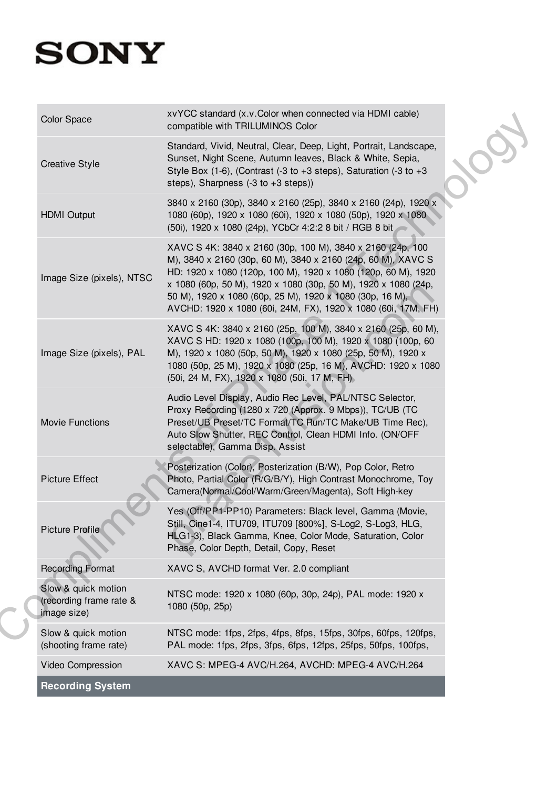| <b>Recording System</b>                                       |                                                                                                                                                                                                                                                                                                                                                                                            |
|---------------------------------------------------------------|--------------------------------------------------------------------------------------------------------------------------------------------------------------------------------------------------------------------------------------------------------------------------------------------------------------------------------------------------------------------------------------------|
| Video Compression                                             | XAVC S: MPEG-4 AVC/H.264, AVCHD: MPEG-4 AVC/H.264                                                                                                                                                                                                                                                                                                                                          |
| Slow & quick motion<br>(shooting frame rate)                  | NTSC mode: 1fps, 2fps, 4fps, 8fps, 15fps, 30fps, 60fps, 120fps,<br>PAL mode: 1fps, 2fps, 3fps, 6fps, 12fps, 25fps, 50fps, 100fps,                                                                                                                                                                                                                                                          |
| Slow & quick motion<br>(recording frame rate &<br>image size) | NTSC mode: 1920 x 1080 (60p, 30p, 24p), PAL mode: 1920 x<br>1080 (50p, 25p)                                                                                                                                                                                                                                                                                                                |
| <b>Recording Format</b>                                       | XAVC S, AVCHD format Ver. 2.0 compliant                                                                                                                                                                                                                                                                                                                                                    |
| <b>Picture Profile</b>                                        | Yes (Off/PP1-PP10) Parameters: Black level, Gamma (Movie,<br>Still, Cine1-4, ITU709, ITU709 [800%], S-Log2, S-Log3, HLG,<br>HLG1-3), Black Gamma, Knee, Color Mode, Saturation, Color<br>Phase, Color Depth, Detail, Copy, Reset                                                                                                                                                           |
| <b>Picture Effect</b>                                         | Posterization (Color), Posterization (B/W), Pop Color, Retro<br>Photo, Partial Color (R/G/B/Y), High Contrast Monochrome, Toy<br>Camera(Normal/Cool/Warm/Green/Magenta), Soft High-key                                                                                                                                                                                                     |
| <b>Movie Functions</b>                                        | Audio Level Display, Audio Rec Level, PAL/NTSC Selector,<br>Proxy Recording (1280 x 720 (Approx. 9 Mbps)), TC/UB (TC<br>Preset/UB Preset/TC Format/TC Run/TC Make/UB Time Rec),<br>Auto Slow Shutter, REC Control, Clean HDMI Info. (ON/OFF<br>selectable), Gamma Disp. Assist                                                                                                             |
| Image Size (pixels), PAL                                      | XAVC S 4K: 3840 x 2160 (25p, 100 M), 3840 x 2160 (25p, 60 M),<br>XAVC S HD: 1920 x 1080 (100p, 100 M), 1920 x 1080 (100p, 60<br>M), 1920 x 1080 (50p, 50 M), 1920 x 1080 (25p, 50 M), 1920 x<br>1080 (50p, 25 M), 1920 x 1080 (25p, 16 M), AVCHD: 1920 x 1080<br>(50i, 24 M, FX), 1920 x 1080 (50i, 17 M, FH)                                                                              |
| Image Size (pixels), NTSC                                     | XAVC S 4K: 3840 x 2160 (30p, 100 M), 3840 x 2160 (24p, 100<br>M), 3840 x 2160 (30p, 60 M), 3840 x 2160 (24p, 60 M), XAVC S<br>HD: 1920 x 1080 (120p, 100 M), 1920 x 1080 (120p, 60 M), 1920<br>x 1080 (60p, 50 M), 1920 x 1080 (30p, 50 M), 1920 x 1080 (24p,<br>50 M), 1920 x 1080 (60p, 25 M), 1920 x 1080 (30p, 16 M),<br>AVCHD: 1920 x 1080 (60i, 24M, FX), 1920 x 1080 (60i, 17M, FH) |
| <b>HDMI Output</b>                                            | 3840 x 2160 (30p), 3840 x 2160 (25p), 3840 x 2160 (24p), 1920 x<br>1080 (60p), 1920 x 1080 (60i), 1920 x 1080 (50p), 1920 x 1080<br>(50i), 1920 x 1080 (24p), YCbCr 4:2:2 8 bit / RGB 8 bit                                                                                                                                                                                                |
| <b>Creative Style</b>                                         | Standard, Vivid, Neutral, Clear, Deep, Light, Portrait, Landscape,<br>Sunset, Night Scene, Autumn leaves, Black & White, Sepia,<br>Style Box (1-6), (Contrast (-3 to +3 steps), Saturation (-3 to +3<br>steps), Sharpness $(-3 \text{ to } +3 \text{ steps}))$                                                                                                                             |
| <b>Color Space</b>                                            | xvYCC standard (x.v.Color when connected via HDMI cable)<br>compatible with TRILUMINOS Color                                                                                                                                                                                                                                                                                               |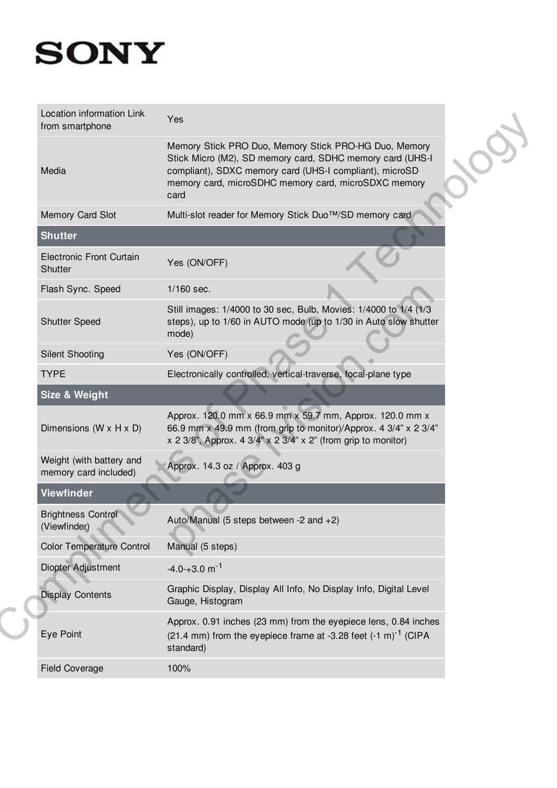| Location information Link<br>from smartphone      | Yes                                                                                                                                                                                                                                           |  |
|---------------------------------------------------|-----------------------------------------------------------------------------------------------------------------------------------------------------------------------------------------------------------------------------------------------|--|
| Media                                             | Memory Stick PRO Duo, Memory Stick PRO-HG Duo, Memory<br>Stick Micro (M2), SD memory card, SDHC memory card (UHS-I<br>compliant), SDXC memory card (UHS-I compliant), microSD<br>memory card, microSDHC memory card, microSDXC memory<br>card |  |
| Memory Card Slot                                  | Multi-slot reader for Memory Stick Duo™/SD memory card                                                                                                                                                                                        |  |
| <b>Shutter</b>                                    |                                                                                                                                                                                                                                               |  |
| <b>Electronic Front Curtain</b><br>Shutter        | Yes (ON/OFF)                                                                                                                                                                                                                                  |  |
| Flash Sync. Speed                                 | 1/160 sec.                                                                                                                                                                                                                                    |  |
| <b>Shutter Speed</b>                              | Still images: 1/4000 to 30 sec, Bulb, Movies: 1/4000 to 1/4 (1/3<br>steps), up to 1/60 in AUTO mode (up to 1/30 in Auto slow shutter<br>mode)                                                                                                 |  |
| <b>Silent Shooting</b>                            | Yes (ON/OFF)                                                                                                                                                                                                                                  |  |
| <b>TYPE</b>                                       | Electronically controlled, vertical-traverse, focal-plane type                                                                                                                                                                                |  |
| <b>Size &amp; Weight</b>                          |                                                                                                                                                                                                                                               |  |
| Dimensions (W x H x D)                            | Approx. 120.0 mm x 66.9 mm x 59.7 mm, Approx. 120.0 mm x<br>66.9 mm x 49.9 mm (from grip to monitor)/Approx. 4 3/4" x 2 3/4"<br>x 2 3/8", Approx. 4 3/4" x 2 3/4" x 2" (from grip to monitor)                                                 |  |
| Weight (with battery and<br>memory card included) | Approx. 14.3 oz / Approx. 403 g                                                                                                                                                                                                               |  |
| <b>Viewfinder</b>                                 |                                                                                                                                                                                                                                               |  |
| <b>Brightness Control</b><br>(Viewfinder)         | Auto/Manual (5 steps between -2 and +2)                                                                                                                                                                                                       |  |
| <b>Color Temperature Control</b>                  | Manual (5 steps)                                                                                                                                                                                                                              |  |
|                                                   |                                                                                                                                                                                                                                               |  |
| Diopter Adjustment                                | $-4.0 - +3.0$ m <sup>-1</sup>                                                                                                                                                                                                                 |  |
| <b>Display Contents</b>                           | Graphic Display, Display All Info, No Display Info, Digital Level<br>Gauge, Histogram                                                                                                                                                         |  |
| Eye Point                                         | Approx. 0.91 inches (23 mm) from the eyepiece lens, 0.84 inches<br>$(21.4 \text{ mm})$ from the eyepiece frame at -3.28 feet $(-1 \text{ m})^{-1}$ (CIPA<br>standard)                                                                         |  |
| <b>Field Coverage</b>                             | 100%                                                                                                                                                                                                                                          |  |